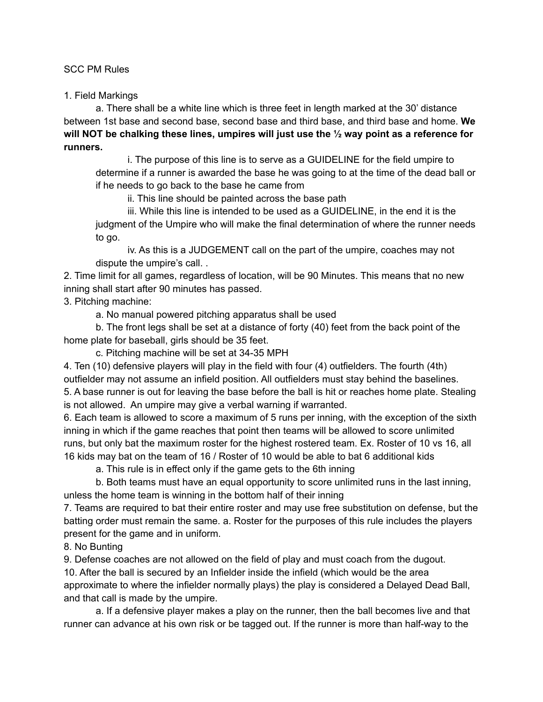## SCC PM Rules

1. Field Markings

a. There shall be a white line which is three feet in length marked at the 30' distance between 1st base and second base, second base and third base, and third base and home. **We will NOT be chalking these lines, umpires will just use the ½ way point as a reference for runners.**

i. The purpose of this line is to serve as a GUIDELINE for the field umpire to determine if a runner is awarded the base he was going to at the time of the dead ball or if he needs to go back to the base he came from

ii. This line should be painted across the base path

iii. While this line is intended to be used as a GUIDELINE, in the end it is the judgment of the Umpire who will make the final determination of where the runner needs to go.

iv. As this is a JUDGEMENT call on the part of the umpire, coaches may not dispute the umpire's call. .

2. Time limit for all games, regardless of location, will be 90 Minutes. This means that no new inning shall start after 90 minutes has passed.

3. Pitching machine:

a. No manual powered pitching apparatus shall be used

b. The front legs shall be set at a distance of forty (40) feet from the back point of the home plate for baseball, girls should be 35 feet.

c. Pitching machine will be set at 34-35 MPH

4. Ten (10) defensive players will play in the field with four (4) outfielders. The fourth (4th) outfielder may not assume an infield position. All outfielders must stay behind the baselines. 5. A base runner is out for leaving the base before the ball is hit or reaches home plate. Stealing is not allowed. An umpire may give a verbal warning if warranted.

6. Each team is allowed to score a maximum of 5 runs per inning, with the exception of the sixth inning in which if the game reaches that point then teams will be allowed to score unlimited runs, but only bat the maximum roster for the highest rostered team. Ex. Roster of 10 vs 16, all 16 kids may bat on the team of 16 / Roster of 10 would be able to bat 6 additional kids

a. This rule is in effect only if the game gets to the 6th inning

b. Both teams must have an equal opportunity to score unlimited runs in the last inning, unless the home team is winning in the bottom half of their inning

7. Teams are required to bat their entire roster and may use free substitution on defense, but the batting order must remain the same. a. Roster for the purposes of this rule includes the players present for the game and in uniform.

8. No Bunting

9. Defense coaches are not allowed on the field of play and must coach from the dugout.

10. After the ball is secured by an Infielder inside the infield (which would be the area approximate to where the infielder normally plays) the play is considered a Delayed Dead Ball, and that call is made by the umpire.

a. If a defensive player makes a play on the runner, then the ball becomes live and that runner can advance at his own risk or be tagged out. If the runner is more than half-way to the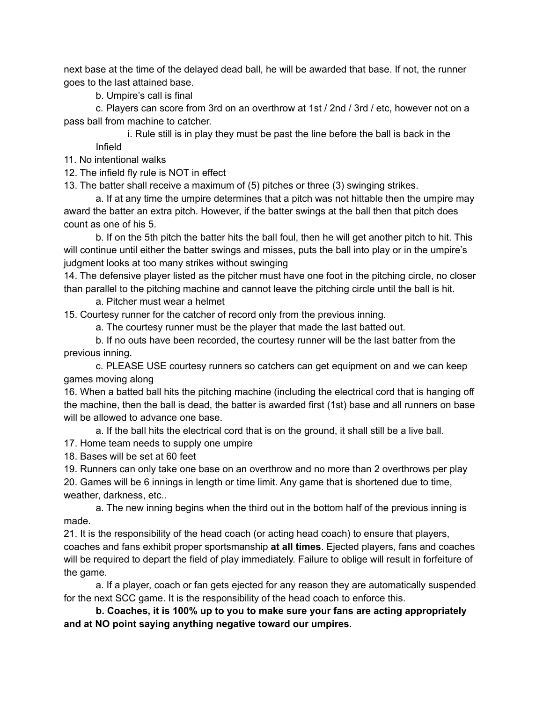next base at the time of the delayed dead ball, he will be awarded that base. If not, the runner goes to the last attained base.

b. Umpire's call is final

c. Players can score from 3rd on an overthrow at 1st / 2nd / 3rd / etc, however not on a pass ball from machine to catcher.

i. Rule still is in play they must be past the line before the ball is back in the Infield

11. No intentional walks

12. The infield fly rule is NOT in effect

13. The batter shall receive a maximum of (5) pitches or three (3) swinging strikes.

a. If at any time the umpire determines that a pitch was not hittable then the umpire may award the batter an extra pitch. However, if the batter swings at the ball then that pitch does count as one of his 5.

b. If on the 5th pitch the batter hits the ball foul, then he will get another pitch to hit. This will continue until either the batter swings and misses, puts the ball into play or in the umpire's judgment looks at too many strikes without swinging

14. The defensive player listed as the pitcher must have one foot in the pitching circle, no closer than parallel to the pitching machine and cannot leave the pitching circle until the ball is hit.

a. Pitcher must wear a helmet

15. Courtesy runner for the catcher of record only from the previous inning.

a. The courtesy runner must be the player that made the last batted out.

b. If no outs have been recorded, the courtesy runner will be the last batter from the previous inning.

c. PLEASE USE courtesy runners so catchers can get equipment on and we can keep games moving along

16. When a batted ball hits the pitching machine (including the electrical cord that is hanging off the machine, then the ball is dead, the batter is awarded first (1st) base and all runners on base will be allowed to advance one base.

a. If the ball hits the electrical cord that is on the ground, it shall still be a live ball.

17. Home team needs to supply one umpire

18. Bases will be set at 60 feet

19. Runners can only take one base on an overthrow and no more than 2 overthrows per play 20. Games will be 6 innings in length or time limit. Any game that is shortened due to time, weather, darkness, etc..

a. The new inning begins when the third out in the bottom half of the previous inning is made.

21. It is the responsibility of the head coach (or acting head coach) to ensure that players, coaches and fans exhibit proper sportsmanship **at all times**. Ejected players, fans and coaches will be required to depart the field of play immediately. Failure to oblige will result in forfeiture of the game.

a. If a player, coach or fan gets ejected for any reason they are automatically suspended for the next SCC game. It is the responsibility of the head coach to enforce this.

**b. Coaches, it is 100% up to you to make sure your fans are acting appropriately and at NO point saying anything negative toward our umpires.**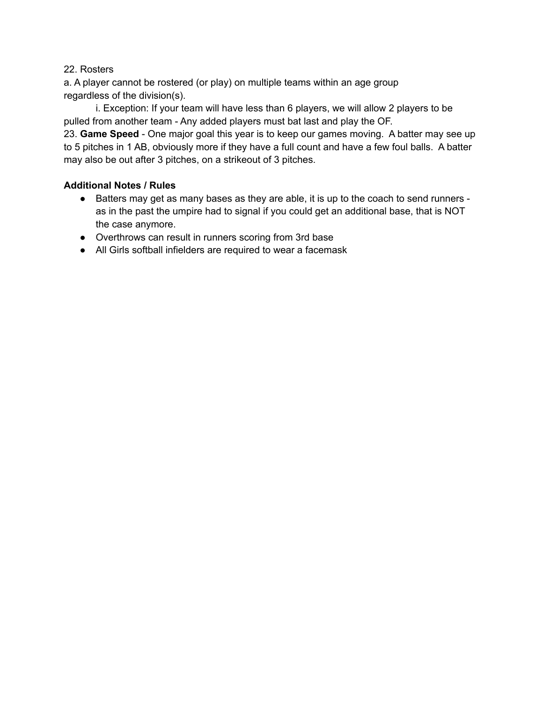## 22. Rosters

a. A player cannot be rostered (or play) on multiple teams within an age group regardless of the division(s).

i. Exception: If your team will have less than 6 players, we will allow 2 players to be pulled from another team - Any added players must bat last and play the OF.

23. **Game Speed** - One major goal this year is to keep our games moving. A batter may see up to 5 pitches in 1 AB, obviously more if they have a full count and have a few foul balls. A batter may also be out after 3 pitches, on a strikeout of 3 pitches.

## **Additional Notes / Rules**

- Batters may get as many bases as they are able, it is up to the coach to send runners as in the past the umpire had to signal if you could get an additional base, that is NOT the case anymore.
- Overthrows can result in runners scoring from 3rd base
- All Girls softball infielders are required to wear a facemask